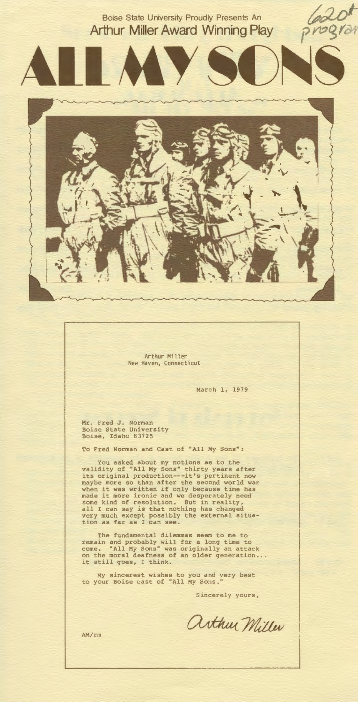Boise State University Proudly Presents An **Arthur Miller Award Winning Play**  la20"



Arthur Miller New Haven, Connecticut

March l, 1979

Mr. Fred J. Norman Boise State University Boise, Idaho 83725

To Fred Norman and Cast of "All My Sons":

You asked about my notions as to the<br>validity of "All My Sons" thirty years after<br>its original production---it's pertinent now<br>maybe more so than after the second world war<br>when it was written if only because time has<br>made

The fundamental dilemmas seem to me to<br>
remain and probably will for a long time to<br>
come. "All My Sons" was originally an attack<br>
on the moral deafness of an older generation... it still goes, I think.

My sincerest wishes to you and very best **to your Boise cast of ''All My Sons.''** 

**Sincerely yours,** 

arthur Miller

AM/rm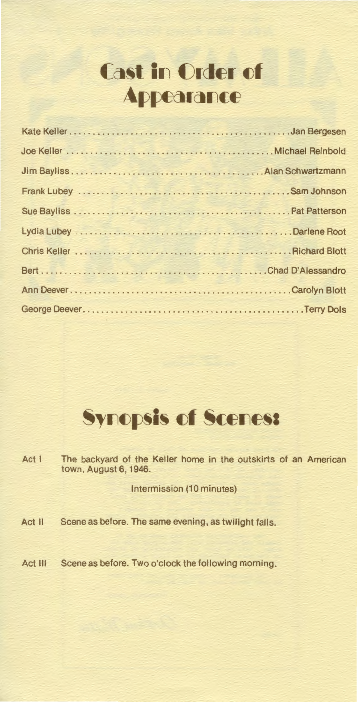## **Cast in Order of** Appearance



Act I The backyard of the Keller home in the outskirts of an American town. August 6, 1946.

Intermission (10 minutes)

Act II Scene as before. The same evening, as twilight falls.

Act III Scene as before. Two o'clock the following morning.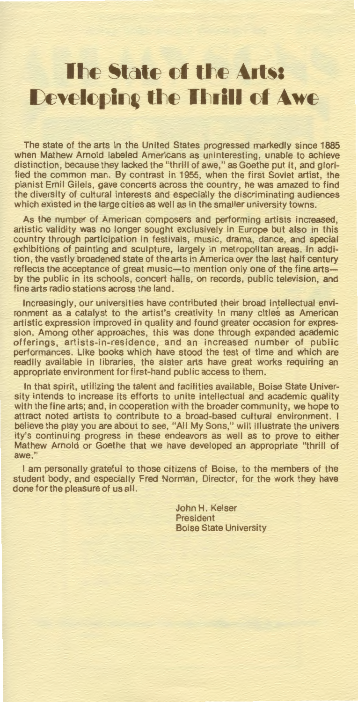## **lihe State of the Arts:** Developing the Thrill of Awe

The state of the arts in the United States progressed markedly since 1885 when Mathew Arnold labeled Americans as uninteresting, unable to achieve distinction, because they lacked the "thrill of awe," as Goethe put it, and glorified the common man. By contrast in 1955, when the first Soviet artist, the pianist Emil Gilels, gave concerts across the country, he was amazed to find the diversity of cultural interests and especially the discriminating audiences which existed in the large cities as well as in the smaller university towns.

As the number of American composers and performing artists increased, artistic validity was no longer sought exclusively in Europe but also in this country through participation in festivals, music, drama, dance, and special exhibitions of painting and sculpture, largely in metropolitan areas. In addition, the vastly broadened state of the arts in America over the last half century reflects the acceptance of great music-to mention only one of the fine artsby the public in its schools, concert halls, on records, public television, and fine arts radio stations across the land.

Increasingly, our universities have contributed their broad intellectual environment as a catalyst to the artist's creativity in many cities as American artistic expression improved in quality and found greater occasion for expression. Among other approaches, this was done through expanded academic offerings, artists-in-residence, and an increased number of public performances. Like books which have stood the test of time and which are readily available in libraries, the sister arts have great works requiring an appropriate environment for first-hand public access to them.

In that spirit, utilizing the talent and facilities available, Boise State University intends to increase its efforts to unite intellectual and academic quality with the fine arts; and, in cooperation with the broader community, we hope to attract noted artists to contribute to a broad-based cultural environment. I believe the play you are about to see, "All My Sons," will illustrate the univers ity's continuing progress in these endeavors as well as to prove to either Mathew Arnold or Goethe that we have developed an appropriate "thrill of awe."

I am personally grateful to those citizens of Boise, to the members of the student body, and especially Fred Norman, Director, for the work they have done for the pleasure of us all.

> John H. Keiser **President** Boise State University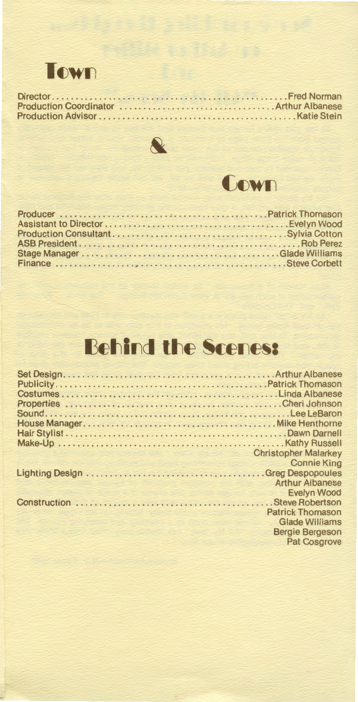

Director ................................................ .. Fred Norman Production Coordinator ................................. Arthur Albanese Production Advisor .......................................... Katie Stein





# Behind the Scenes:

| <b>Christopher Malarkey</b> |
|-----------------------------|
| <b>Connie King</b>          |
|                             |
| <b>Arthur Albanese</b>      |
| <b>Evelyn Wood</b>          |
|                             |
| <b>Patrick Thomason</b>     |
| <b>Glade Williams</b>       |
| <b>Bergie Bergeson</b>      |
| <b>Pat Cosgrove</b>         |
|                             |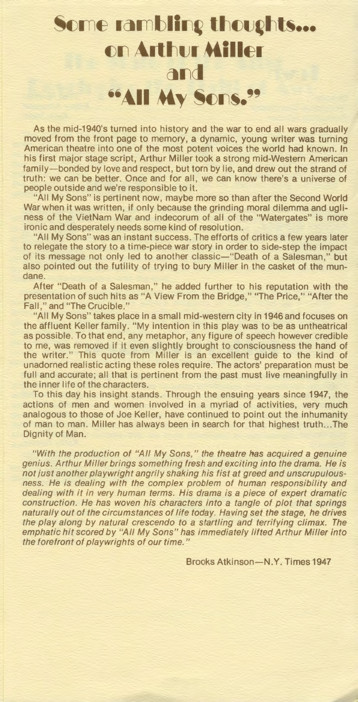#### **Some rambling thoughts... on Arthur Miller** and **••All My Sons."**

As the mid-1940's turned into history and the war to end all wars gradually moved from the front page to memory, a dynamic, young writer was turning American theatre into one of the most potent voices the world had known. In his first major stage script, Arthur Miller took a strong mid-Western American family-bonded by love and respect, but torn by lie, and drew out the strand of truth: we can be better. Once and for all, we can know there's a universe of people outside and we're responsible to it.

"All My Sons" is pertinent now, maybe more so than after the Second World War when it was written, if only because the grinding moral dilemma and ugliness of the VietNam War and indecorum of all of the "Watergates" is more ironic and desperately needs some kind of resolution.

"All My Sons" was an instant success. The efforts of critics a few years later to relegate the story to a time-piece war story in order to side-step the impact of its message not only led to another classic-"Death of a Salesman," but also pointed out the futility of trying to bury Miller in the casket of the mundane.

After "Death of a Salesman," he added further to his reputation with the presentation of such hits as "A View From the Bridge," "The Price," "After the Fall," and "The Crucible."

"All My Sons" takes place in a small mid-western city in 1946 and focuses on the affluent Keller family. "My intention in this play was to be as untheatrical as possible. To that end, any metaphor, any figure of speech however credible to me, was removed if it even slightly brought to consciousness the hand of the writer." This quote from Miller is an excellent guide to the kind of unadorned realistic acting these roles require. The actors' preparation must be full and accurate; all that is pertinent from the past must live meaningfully in the inner life of the characters.

To this day his insight stands. Through the ensuing years since 1947, the actions of men and women involved in a myriad of activities, very much analogous to those of Joe Keller, have continued to point out the inhumanity of man to man. Miller has always been in search for that highest truth ... The Dignity of Man.

"With the production of "All My Sons," the theatre has acquired a genuine genius. Arthur Miller brings something fresh and exciting into the drama. He is not just another playwright angrily shaking his fist at greed and unscrupulousness. He is dealing with the complex problem of human responsibility and dealing with it in very human terms. His drama is a piece of expert dramatic construction. He has woven his characters into a tangle of plot that springs naturally out of the circumstances of life today. Having set the stage, he drives the play along by natural crescendo to a startling and terrifying climax. The emphatic hit scored by "All My Sons" has immediately lifted Arthur Miller into the forefront of playwrights of our time."

Brooks Atkinson-N.Y. Times 1947